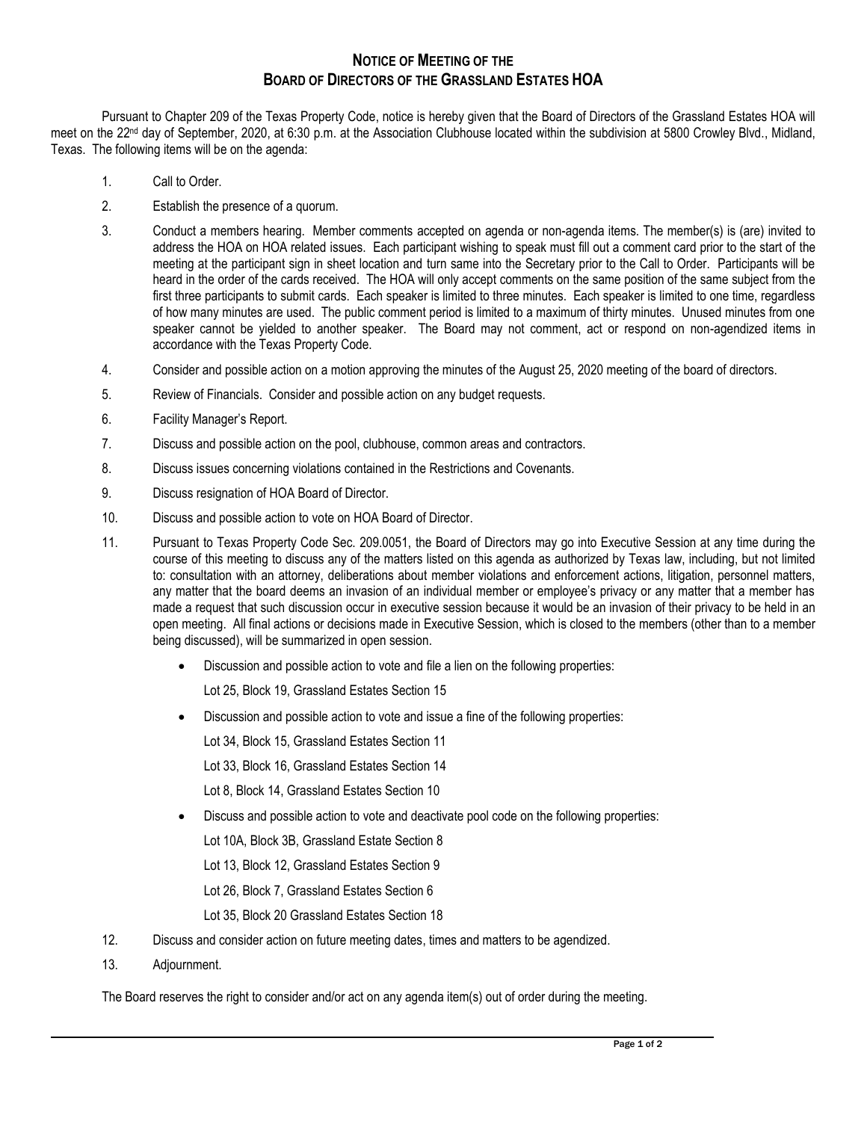## **NOTICE OF MEETING OF THE BOARD OF DIRECTORS OF THE GRASSLAND ESTATES HOA**

Pursuant to Chapter 209 of the Texas Property Code, notice is hereby given that the Board of Directors of the Grassland Estates HOA will meet on the 22<sup>nd</sup> day of September, 2020, at 6:30 p.m. at the Association Clubhouse located within the subdivision at 5800 Crowley Blvd., Midland, Texas. The following items will be on the agenda:

- 1. Call to Order.
- 2. Establish the presence of a quorum.
- 3. Conduct a members hearing. Member comments accepted on agenda or non-agenda items. The member(s) is (are) invited to address the HOA on HOA related issues. Each participant wishing to speak must fill out a comment card prior to the start of the meeting at the participant sign in sheet location and turn same into the Secretary prior to the Call to Order. Participants will be heard in the order of the cards received. The HOA will only accept comments on the same position of the same subject from the first three participants to submit cards. Each speaker is limited to three minutes. Each speaker is limited to one time, regardless of how many minutes are used. The public comment period is limited to a maximum of thirty minutes. Unused minutes from one speaker cannot be yielded to another speaker. The Board may not comment, act or respond on non-agendized items in accordance with the Texas Property Code.
- 4. Consider and possible action on a motion approving the minutes of the August 25, 2020 meeting of the board of directors.
- 5. Review of Financials. Consider and possible action on any budget requests.
- 6. Facility Manager's Report.
- 7. Discuss and possible action on the pool, clubhouse, common areas and contractors.
- 8. Discuss issues concerning violations contained in the Restrictions and Covenants.
- 9. Discuss resignation of HOA Board of Director.
- 10. Discuss and possible action to vote on HOA Board of Director.
- 11. Pursuant to Texas Property Code Sec. 209.0051, the Board of Directors may go into Executive Session at any time during the course of this meeting to discuss any of the matters listed on this agenda as authorized by Texas law, including, but not limited to: consultation with an attorney, deliberations about member violations and enforcement actions, litigation, personnel matters, any matter that the board deems an invasion of an individual member or employee's privacy or any matter that a member has made a request that such discussion occur in executive session because it would be an invasion of their privacy to be held in an open meeting. All final actions or decisions made in Executive Session, which is closed to the members (other than to a member being discussed), will be summarized in open session.
	- Discussion and possible action to vote and file a lien on the following properties:
		- Lot 25, Block 19, Grassland Estates Section 15
	- Discussion and possible action to vote and issue a fine of the following properties:
		- Lot 34, Block 15, Grassland Estates Section 11
		- Lot 33, Block 16, Grassland Estates Section 14
		- Lot 8, Block 14, Grassland Estates Section 10
	- Discuss and possible action to vote and deactivate pool code on the following properties:
		- Lot 10A, Block 3B, Grassland Estate Section 8
		- Lot 13, Block 12, Grassland Estates Section 9
		- Lot 26, Block 7, Grassland Estates Section 6
		- Lot 35, Block 20 Grassland Estates Section 18
- 12. Discuss and consider action on future meeting dates, times and matters to be agendized.
- 13. Adjournment.

The Board reserves the right to consider and/or act on any agenda item(s) out of order during the meeting.